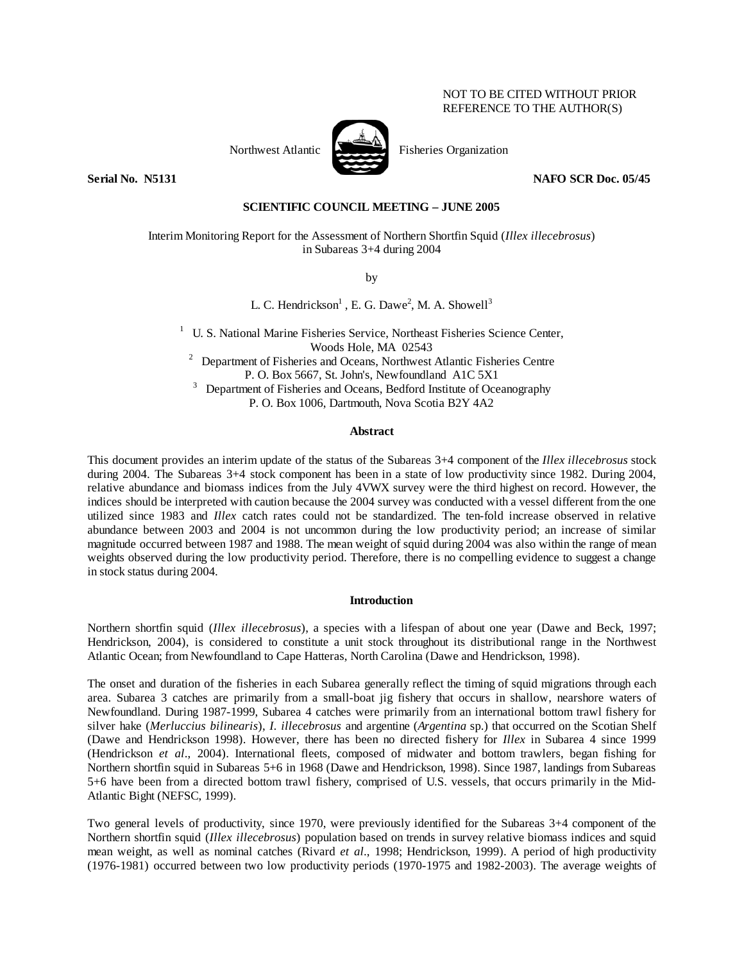## NOT TO BE CITED WITHOUT PRIOR REFERENCE TO THE AUTHOR(S)



Northwest Atlantic Fisheries Organization

**Serial No. 3.5131 2006. In the series of the series of the SCR Doc. 05/45**   $NAFO$  SCR Doc. 05/45

# **SCIENTIFIC COUNCIL MEETING – JUNE 2005**

Interim Monitoring Report for the Assessment of Northern Shortfin Squid (*Illex illecebrosus*) in Subareas 3+4 during 2004

by

L. C. Hendrickson<sup>1</sup>, E. G. Dawe<sup>2</sup>, M. A. Showell<sup>3</sup>

<sup>1</sup> U. S. National Marine Fisheries Service, Northeast Fisheries Science Center, Woods Hole, MA 02543<br><sup>2</sup> Department of Fisheries and Oceans, Northwest Atlantic Fisheries Centre

P. O. Box 5667, St. John's, Newfoundland A1C 5X1

<sup>3</sup> Department of Fisheries and Oceans, Bedford Institute of Oceanography P. O. Box 1006, Dartmouth, Nova Scotia B2Y 4A2

#### **Abstract**

This document provides an interim update of the status of the Subareas 3+4 component of the *Illex illecebrosus* stock during 2004. The Subareas 3+4 stock component has been in a state of low productivity since 1982. During 2004, relative abundance and biomass indices from the July 4VWX survey were the third highest on record. However, the indices should be interpreted with caution because the 2004 survey was conducted with a vessel different from the one utilized since 1983 and *Illex* catch rates could not be standardized. The ten-fold increase observed in relative abundance between 2003 and 2004 is not uncommon during the low productivity period; an increase of similar magnitude occurred between 1987 and 1988. The mean weight of squid during 2004 was also within the range of mean weights observed during the low productivity period. Therefore, there is no compelling evidence to suggest a change in stock status during 2004.

#### **Introduction**

Northern shortfin squid (*Illex illecebrosus*), a species with a lifespan of about one year (Dawe and Beck, 1997; Hendrickson, 2004), is considered to constitute a unit stock throughout its distributional range in the Northwest Atlantic Ocean; from Newfoundland to Cape Hatteras, North Carolina (Dawe and Hendrickson, 1998).

The onset and duration of the fisheries in each Subarea generally reflect the timing of squid migrations through each area. Subarea 3 catches are primarily from a small-boat jig fishery that occurs in shallow, nearshore waters of Newfoundland. During 1987-1999, Subarea 4 catches were primarily from an international bottom trawl fishery for silver hake (*Merluccius bilinearis*), *I. illecebrosus* and argentine (*Argentina* sp.) that occurred on the Scotian Shelf (Dawe and Hendrickson 1998). However, there has been no directed fishery for *Illex* in Subarea 4 since 1999 (Hendrickson *et al*., 2004). International fleets, composed of midwater and bottom trawlers, began fishing for Northern shortfin squid in Subareas 5+6 in 1968 (Dawe and Hendrickson, 1998). Since 1987, landings from Subareas 5+6 have been from a directed bottom trawl fishery, comprised of U.S. vessels, that occurs primarily in the Mid-Atlantic Bight (NEFSC, 1999).

Two general levels of productivity, since 1970, were previously identified for the Subareas 3+4 component of the Northern shortfin squid (*Illex illecebrosus*) population based on trends in survey relative biomass indices and squid mean weight, as well as nominal catches (Rivard *et al*., 1998; Hendrickson, 1999). A period of high productivity (1976-1981) occurred between two low productivity periods (1970-1975 and 1982-2003). The average weights of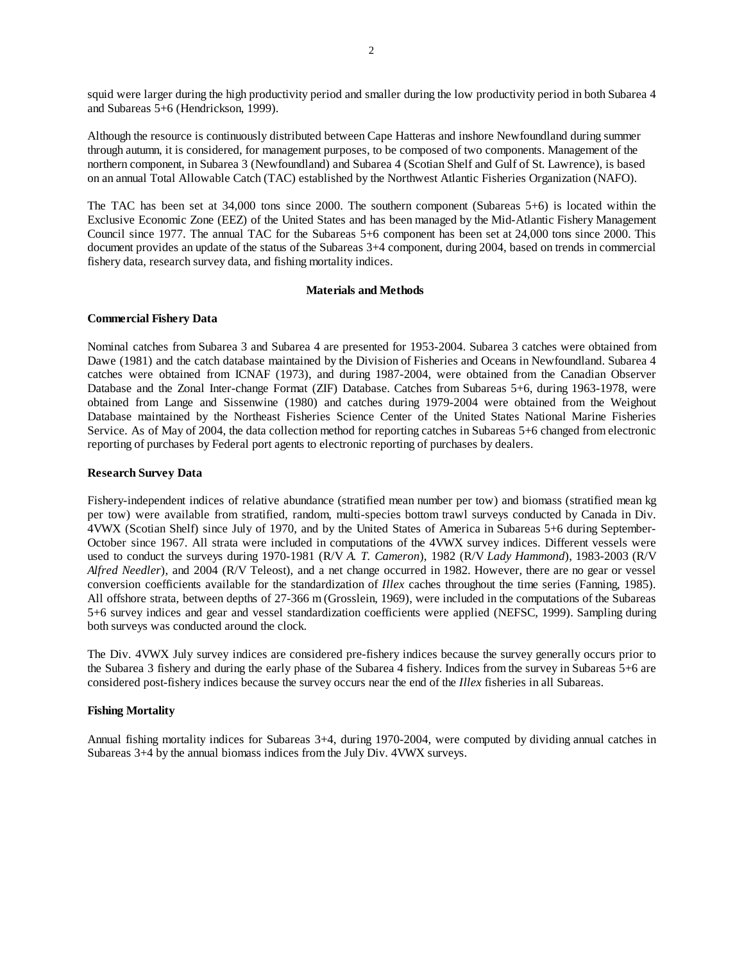squid were larger during the high productivity period and smaller during the low productivity period in both Subarea 4 and Subareas 5+6 (Hendrickson, 1999).

Although the resource is continuously distributed between Cape Hatteras and inshore Newfoundland during summer through autumn, it is considered, for management purposes, to be composed of two components. Management of the northern component, in Subarea 3 (Newfoundland) and Subarea 4 (Scotian Shelf and Gulf of St. Lawrence), is based on an annual Total Allowable Catch (TAC) established by the Northwest Atlantic Fisheries Organization (NAFO).

The TAC has been set at 34,000 tons since 2000. The southern component (Subareas 5+6) is located within the Exclusive Economic Zone (EEZ) of the United States and has been managed by the Mid-Atlantic Fishery Management Council since 1977. The annual TAC for the Subareas 5+6 component has been set at 24,000 tons since 2000. This document provides an update of the status of the Subareas 3+4 component, during 2004, based on trends in commercial fishery data, research survey data, and fishing mortality indices.

## **Materials and Methods**

## **Commercial Fishery Data**

Nominal catches from Subarea 3 and Subarea 4 are presented for 1953-2004. Subarea 3 catches were obtained from Dawe (1981) and the catch database maintained by the Division of Fisheries and Oceans in Newfoundland. Subarea 4 catches were obtained from ICNAF (1973), and during 1987-2004, were obtained from the Canadian Observer Database and the Zonal Inter-change Format (ZIF) Database. Catches from Subareas 5+6, during 1963-1978, were obtained from Lange and Sissenwine (1980) and catches during 1979-2004 were obtained from the Weighout Database maintained by the Northeast Fisheries Science Center of the United States National Marine Fisheries Service. As of May of 2004, the data collection method for reporting catches in Subareas 5+6 changed from electronic reporting of purchases by Federal port agents to electronic reporting of purchases by dealers.

#### **Research Survey Data**

Fishery-independent indices of relative abundance (stratified mean number per tow) and biomass (stratified mean kg per tow) were available from stratified, random, multi-species bottom trawl surveys conducted by Canada in Div. 4VWX (Scotian Shelf) since July of 1970, and by the United States of America in Subareas 5+6 during September-October since 1967. All strata were included in computations of the 4VWX survey indices. Different vessels were used to conduct the surveys during 1970-1981 (R/V *A. T. Cameron*), 1982 (R/V *Lady Hammond*), 1983-2003 (R/V *Alfred Needler*), and 2004 (R/V Teleost), and a net change occurred in 1982. However, there are no gear or vessel conversion coefficients available for the standardization of *Illex* caches throughout the time series (Fanning, 1985). All offshore strata, between depths of 27-366 m (Grosslein, 1969), were included in the computations of the Subareas 5+6 survey indices and gear and vessel standardization coefficients were applied (NEFSC, 1999). Sampling during both surveys was conducted around the clock.

The Div. 4VWX July survey indices are considered pre-fishery indices because the survey generally occurs prior to the Subarea 3 fishery and during the early phase of the Subarea 4 fishery. Indices from the survey in Subareas 5+6 are considered post-fishery indices because the survey occurs near the end of the *Illex* fisheries in all Subareas.

## **Fishing Mortality**

Annual fishing mortality indices for Subareas 3+4, during 1970-2004, were computed by dividing annual catches in Subareas 3+4 by the annual biomass indices from the July Div. 4VWX surveys.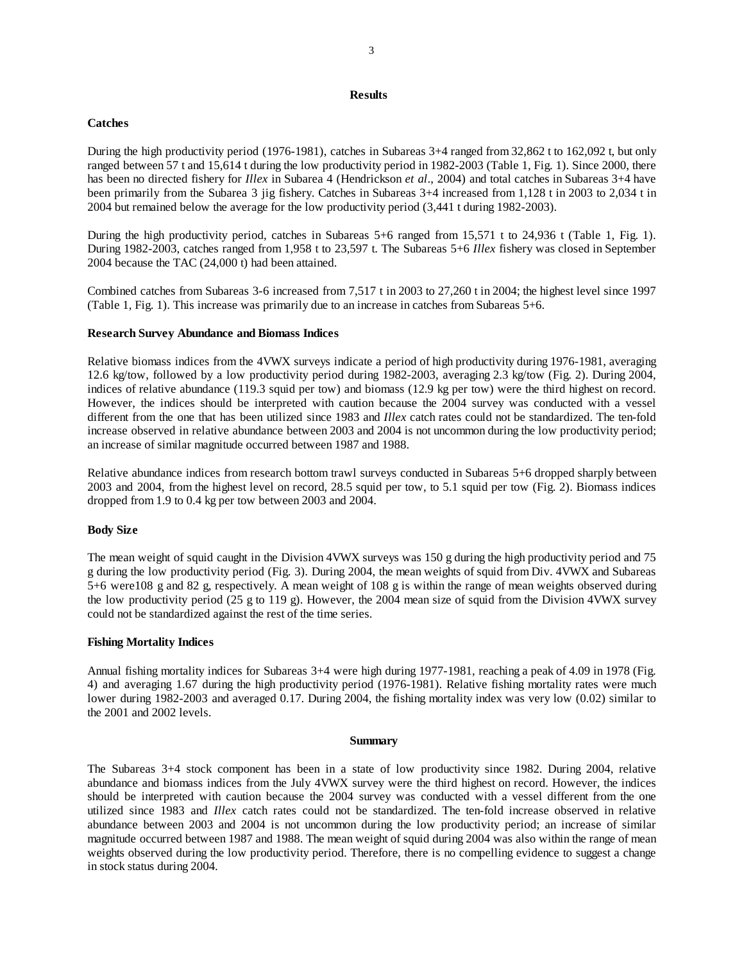#### **Results**

## **Catches**

During the high productivity period (1976-1981), catches in Subareas 3+4 ranged from 32,862 t to 162,092 t, but only ranged between 57 t and 15,614 t during the low productivity period in 1982-2003 (Table 1, Fig. 1). Since 2000, there has been no directed fishery for *Illex* in Subarea 4 (Hendrickson *et al*., 2004) and total catches in Subareas 3+4 have been primarily from the Subarea 3 jig fishery. Catches in Subareas 3+4 increased from 1,128 t in 2003 to 2,034 t in 2004 but remained below the average for the low productivity period (3,441 t during 1982-2003).

During the high productivity period, catches in Subareas 5+6 ranged from 15,571 t to 24,936 t (Table 1, Fig. 1). During 1982-2003, catches ranged from 1,958 t to 23,597 t. The Subareas 5+6 *Illex* fishery was closed in September 2004 because the TAC (24,000 t) had been attained.

Combined catches from Subareas 3-6 increased from 7,517 t in 2003 to 27,260 t in 2004; the highest level since 1997 (Table 1, Fig. 1). This increase was primarily due to an increase in catches from Subareas 5+6.

## **Research Survey Abundance and Biomass Indices**

Relative biomass indices from the 4VWX surveys indicate a period of high productivity during 1976-1981, averaging 12.6 kg/tow, followed by a low productivity period during 1982-2003, averaging 2.3 kg/tow (Fig. 2). During 2004, indices of relative abundance (119.3 squid per tow) and biomass (12.9 kg per tow) were the third highest on record. However, the indices should be interpreted with caution because the 2004 survey was conducted with a vessel different from the one that has been utilized since 1983 and *Illex* catch rates could not be standardized. The ten-fold increase observed in relative abundance between 2003 and 2004 is not uncommon during the low productivity period; an increase of similar magnitude occurred between 1987 and 1988.

Relative abundance indices from research bottom trawl surveys conducted in Subareas 5+6 dropped sharply between 2003 and 2004, from the highest level on record, 28.5 squid per tow, to 5.1 squid per tow (Fig. 2). Biomass indices dropped from 1.9 to 0.4 kg per tow between 2003 and 2004.

## **Body Size**

The mean weight of squid caught in the Division 4VWX surveys was 150 g during the high productivity period and 75 g during the low productivity period (Fig. 3). During 2004, the mean weights of squid from Div. 4VWX and Subareas 5+6 were108 g and 82 g, respectively. A mean weight of 108 g is within the range of mean weights observed during the low productivity period (25 g to 119 g). However, the 2004 mean size of squid from the Division 4VWX survey could not be standardized against the rest of the time series.

## **Fishing Mortality Indices**

Annual fishing mortality indices for Subareas 3+4 were high during 1977-1981, reaching a peak of 4.09 in 1978 (Fig. 4) and averaging 1.67 during the high productivity period (1976-1981). Relative fishing mortality rates were much lower during 1982-2003 and averaged 0.17. During 2004, the fishing mortality index was very low (0.02) similar to the 2001 and 2002 levels.

#### **Summary**

The Subareas 3+4 stock component has been in a state of low productivity since 1982. During 2004, relative abundance and biomass indices from the July 4VWX survey were the third highest on record. However, the indices should be interpreted with caution because the 2004 survey was conducted with a vessel different from the one utilized since 1983 and *Illex* catch rates could not be standardized. The ten-fold increase observed in relative abundance between 2003 and 2004 is not uncommon during the low productivity period; an increase of similar magnitude occurred between 1987 and 1988. The mean weight of squid during 2004 was also within the range of mean weights observed during the low productivity period. Therefore, there is no compelling evidence to suggest a change in stock status during 2004.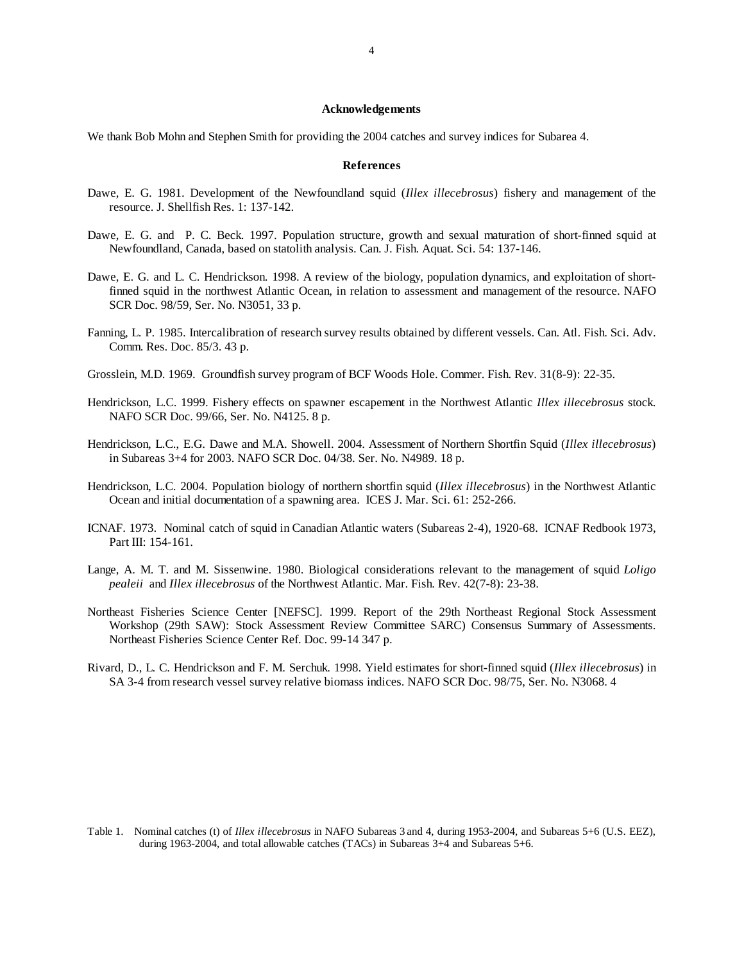#### **Acknowledgements**

We thank Bob Mohn and Stephen Smith for providing the 2004 catches and survey indices for Subarea 4.

#### **References**

- Dawe, E. G. 1981. Development of the Newfoundland squid (*Illex illecebrosus*) fishery and management of the resource. J. Shellfish Res. 1: 137-142.
- Dawe, E. G. and P. C. Beck. 1997. Population structure, growth and sexual maturation of short-finned squid at Newfoundland, Canada, based on statolith analysis. Can. J. Fish. Aquat. Sci. 54: 137-146.
- Dawe, E. G. and L. C. Hendrickson. 1998. A review of the biology, population dynamics, and exploitation of shortfinned squid in the northwest Atlantic Ocean, in relation to assessment and management of the resource. NAFO SCR Doc. 98/59, Ser. No. N3051, 33 p.
- Fanning, L. P. 1985. Intercalibration of research survey results obtained by different vessels. Can. Atl. Fish. Sci. Adv. Comm. Res. Doc. 85/3. 43 p.
- Grosslein, M.D. 1969. Groundfish survey program of BCF Woods Hole. Commer. Fish. Rev. 31(8-9): 22-35.
- Hendrickson, L.C. 1999. Fishery effects on spawner escapement in the Northwest Atlantic *Illex illecebrosus* stock. NAFO SCR Doc. 99/66, Ser. No. N4125. 8 p.
- Hendrickson, L.C., E.G. Dawe and M.A. Showell. 2004. Assessment of Northern Shortfin Squid (*Illex illecebrosus*) in Subareas 3+4 for 2003. NAFO SCR Doc. 04/38. Ser. No. N4989. 18 p.
- Hendrickson, L.C. 2004. Population biology of northern shortfin squid (*Illex illecebrosus*) in the Northwest Atlantic Ocean and initial documentation of a spawning area. ICES J. Mar. Sci. 61: 252-266.
- ICNAF. 1973. Nominal catch of squid in Canadian Atlantic waters (Subareas 2-4), 1920-68. ICNAF Redbook 1973, Part III: 154-161.
- Lange, A. M. T. and M. Sissenwine. 1980. Biological considerations relevant to the management of squid *Loligo pealeii* and *Illex illecebrosus* of the Northwest Atlantic. Mar. Fish. Rev. 42(7-8): 23-38.
- Northeast Fisheries Science Center [NEFSC]. 1999. Report of the 29th Northeast Regional Stock Assessment Workshop (29th SAW): Stock Assessment Review Committee SARC) Consensus Summary of Assessments. Northeast Fisheries Science Center Ref. Doc. 99-14 347 p.
- Rivard, D., L. C. Hendrickson and F. M. Serchuk. 1998. Yield estimates for short-finned squid (*Illex illecebrosus*) in SA 3-4 from research vessel survey relative biomass indices. NAFO SCR Doc. 98/75, Ser. No. N3068. 4

Table 1. Nominal catches (t) of *Illex illecebrosus* in NAFO Subareas 3 and 4, during 1953-2004, and Subareas 5+6 (U.S. EEZ), during 1963-2004, and total allowable catches (TACs) in Subareas 3+4 and Subareas 5+6.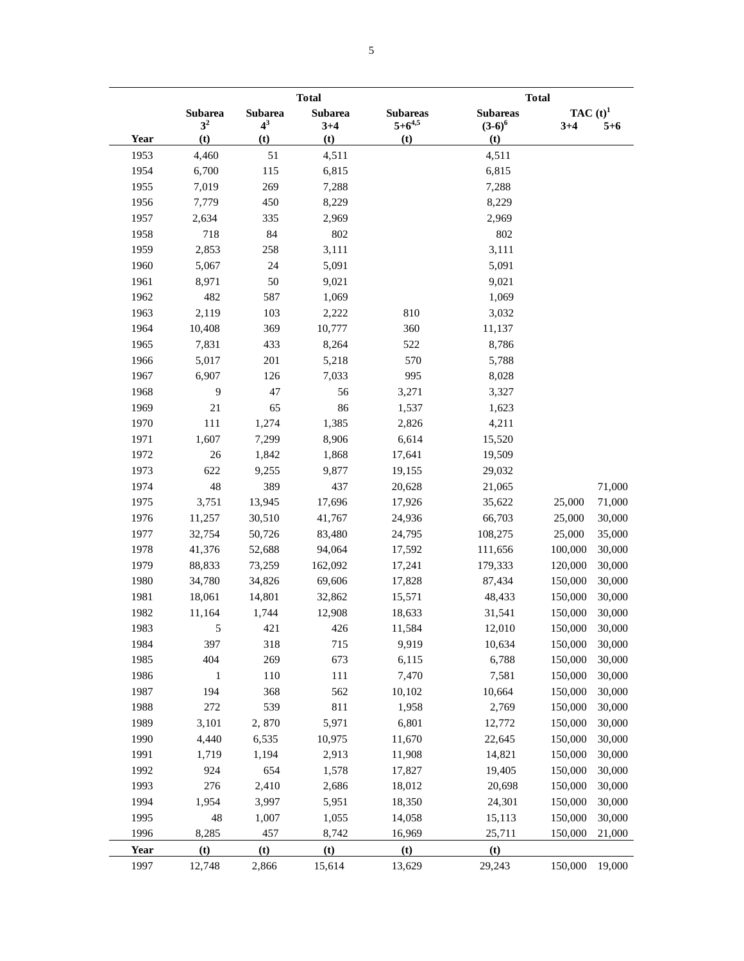|      |                                  |                         | <b>Total</b>              |                                  | <b>Total</b>                 |                        |         |  |
|------|----------------------------------|-------------------------|---------------------------|----------------------------------|------------------------------|------------------------|---------|--|
|      | <b>Subarea</b><br>3 <sup>2</sup> | <b>Subarea</b><br>$4^3$ | <b>Subarea</b><br>$3 + 4$ | <b>Subareas</b><br>$5 + 6^{4,5}$ | <b>Subareas</b><br>$(3-6)^6$ | TAC $(t)^1$<br>$3 + 4$ | $5 + 6$ |  |
| Year | (t)                              | (t)                     | (t)                       | (t)                              | (t)                          |                        |         |  |
| 1953 | 4,460                            | 51                      | 4,511                     |                                  | 4,511                        |                        |         |  |
| 1954 | 6,700                            | 115                     | 6,815                     |                                  | 6,815                        |                        |         |  |
| 1955 | 7,019                            | 269                     | 7,288                     |                                  | 7,288                        |                        |         |  |
| 1956 | 7,779                            | 450                     | 8,229                     |                                  | 8,229                        |                        |         |  |
| 1957 | 2,634                            | 335                     | 2,969                     |                                  | 2,969                        |                        |         |  |
| 1958 | 718                              | 84                      | 802                       |                                  | 802                          |                        |         |  |
| 1959 | 2,853                            | 258                     | 3,111                     |                                  | 3,111                        |                        |         |  |
| 1960 | 5,067                            | 24                      | 5,091                     |                                  | 5,091                        |                        |         |  |
| 1961 | 8,971                            | 50                      | 9,021                     |                                  | 9,021                        |                        |         |  |
| 1962 | 482                              | 587                     | 1,069                     |                                  | 1,069                        |                        |         |  |
| 1963 | 2,119                            | 103                     | 2,222                     | 810                              | 3,032                        |                        |         |  |
| 1964 | 10,408                           | 369                     | 10,777                    | 360                              | 11,137                       |                        |         |  |
| 1965 | 7,831                            | 433                     | 8,264                     | 522                              | 8,786                        |                        |         |  |
| 1966 | 5,017                            | 201                     | 5,218                     | 570                              | 5,788                        |                        |         |  |
| 1967 | 6,907                            | 126                     | 7,033                     | 995                              | 8,028                        |                        |         |  |
| 1968 | $\overline{9}$                   | 47                      | 56                        | 3,271                            | 3,327                        |                        |         |  |
| 1969 | 21                               | 65                      | 86                        | 1,537                            | 1,623                        |                        |         |  |
| 1970 | 111                              | 1,274                   | 1,385                     | 2,826                            | 4,211                        |                        |         |  |
| 1971 | 1,607                            | 7,299                   | 8,906                     | 6,614                            | 15,520                       |                        |         |  |
| 1972 | 26                               | 1,842                   | 1,868                     | 17,641                           | 19,509                       |                        |         |  |
| 1973 | 622                              | 9,255                   | 9,877                     | 19,155                           | 29,032                       |                        |         |  |
| 1974 | 48                               | 389                     | 437                       | 20,628                           | 21,065                       |                        | 71,000  |  |
| 1975 | 3,751                            | 13,945                  | 17,696                    | 17,926                           | 35,622                       | 25,000                 | 71,000  |  |
| 1976 | 11,257                           | 30,510                  | 41,767                    | 24,936                           | 66,703                       | 25,000                 | 30,000  |  |
| 1977 | 32,754                           | 50,726                  | 83,480                    | 24,795                           | 108,275                      | 25,000                 | 35,000  |  |
| 1978 | 41,376                           | 52,688                  | 94,064                    | 17,592                           | 111,656                      | 100,000                | 30,000  |  |
| 1979 | 88,833                           | 73,259                  | 162,092                   | 17,241                           | 179,333                      | 120,000                | 30,000  |  |
| 1980 | 34,780                           | 34,826                  | 69,606                    | 17,828                           | 87,434                       | 150,000                | 30,000  |  |
| 1981 | 18,061                           | 14,801                  | 32,862                    | 15,571                           | 48,433                       | 150,000                | 30,000  |  |
| 1982 | 11,164                           | 1,744                   | 12,908                    | 18,633                           | 31,541                       | 150,000                | 30,000  |  |
| 1983 | 5                                | 421                     | 426                       | 11,584                           | 12,010                       | 150,000                | 30,000  |  |
| 1984 | 397                              | 318                     | 715                       | 9,919                            | 10,634                       | 150,000                | 30,000  |  |
| 1985 | 404                              | 269                     | 673                       | 6,115                            | 6,788                        | 150,000                | 30,000  |  |
| 1986 | $\mathbf{1}$                     | 110                     | 111                       | 7,470                            | 7,581                        | 150,000                | 30,000  |  |
| 1987 | 194                              | 368                     | 562                       | 10,102                           | 10,664                       | 150,000                | 30,000  |  |
| 1988 | 272                              | 539                     | 811                       | 1,958                            | 2,769                        | 150,000                | 30,000  |  |
| 1989 | 3,101                            | 2,870                   | 5,971                     | 6,801                            | 12,772                       | 150,000                | 30,000  |  |
| 1990 | 4,440                            | 6,535                   | 10,975                    | 11,670                           | 22,645                       | 150,000                | 30,000  |  |
| 1991 | 1,719                            | 1,194                   | 2,913                     | 11,908                           | 14,821                       | 150,000                | 30,000  |  |
| 1992 | 924                              | 654                     | 1,578                     | 17,827                           | 19,405                       | 150,000                | 30,000  |  |
| 1993 | 276                              | 2,410                   | 2,686                     | 18,012                           | 20,698                       | 150,000                | 30,000  |  |
| 1994 | 1,954                            | 3,997                   | 5,951                     | 18,350                           | 24,301                       | 150,000                | 30,000  |  |
| 1995 | 48                               | 1,007                   | 1,055                     | 14,058                           | 15,113                       | 150,000                | 30,000  |  |
| 1996 | 8,285                            | 457                     | 8,742                     | 16,969                           | 25,711                       | 150,000                | 21,000  |  |
| Year | (t)                              | (t)                     | (t)                       | (t)                              | (t)                          |                        |         |  |
| 1997 | 12,748                           | 2,866                   | 15,614                    | 13,629                           | 29,243                       | 150,000                | 19,000  |  |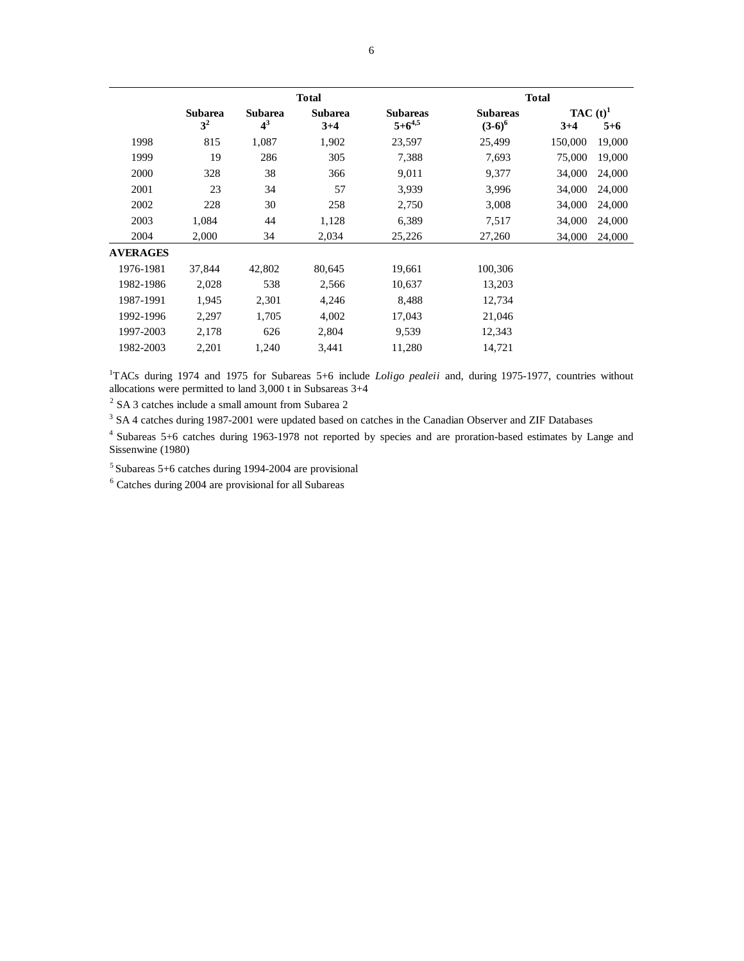|                 |                                  |                         | <b>Total</b>              | <b>Total</b>                     |                              |                        |         |
|-----------------|----------------------------------|-------------------------|---------------------------|----------------------------------|------------------------------|------------------------|---------|
|                 | <b>Subarea</b><br>3 <sup>2</sup> | <b>Subarea</b><br>$4^3$ | <b>Subarea</b><br>$3 + 4$ | <b>Subareas</b><br>$5 + 6^{4,5}$ | <b>Subareas</b><br>$(3-6)^6$ | TAC $(t)^1$<br>$3 + 4$ | $5 + 6$ |
| 1998            | 815                              | 1,087                   | 1,902                     | 23,597                           | 25,499                       | 150,000                | 19,000  |
| 1999            | 19                               | 286                     | 305                       | 7,388                            | 7,693                        | 75,000                 | 19,000  |
| 2000            | 328                              | 38                      | 366                       | 9,011                            | 9,377                        | 34,000                 | 24,000  |
| 2001            | 23                               | 34                      | 57                        | 3,939                            | 3,996                        | 34,000                 | 24,000  |
| 2002            | 228                              | 30                      | 258                       | 2,750                            | 3,008                        | 34,000                 | 24,000  |
| 2003            | 1,084                            | 44                      | 1,128                     | 6,389                            | 7,517                        | 34,000                 | 24,000  |
| 2004            | 2,000                            | 34                      | 2,034                     | 25,226                           | 27,260                       | 34,000                 | 24,000  |
| <b>AVERAGES</b> |                                  |                         |                           |                                  |                              |                        |         |
| 1976-1981       | 37,844                           | 42,802                  | 80,645                    | 19,661                           | 100,306                      |                        |         |
| 1982-1986       | 2,028                            | 538                     | 2,566                     | 10,637                           | 13,203                       |                        |         |
| 1987-1991       | 1,945                            | 2,301                   | 4,246                     | 8,488                            | 12,734                       |                        |         |
| 1992-1996       | 2,297                            | 1,705                   | 4,002                     | 17,043                           | 21,046                       |                        |         |
| 1997-2003       | 2,178                            | 626                     | 2,804                     | 9,539                            | 12,343                       |                        |         |
| 1982-2003       | 2,201                            | 1,240                   | 3,441                     | 11,280                           | 14,721                       |                        |         |

<sup>1</sup>TACs during 1974 and 1975 for Subareas 5+6 include *Loligo pealeii* and, during 1975-1977, countries without allocations were permitted to land 3,000 t in Subsareas 3+4

<sup>2</sup> SA 3 catches include a small amount from Subarea 2

<sup>3</sup> SA 4 catches during 1987-2001 were updated based on catches in the Canadian Observer and ZIF Databases

4 Subareas 5+6 catches during 1963-1978 not reported by species and are proration-based estimates by Lange and Sissenwine (1980)

5 Subareas 5+6 catches during 1994-2004 are provisional

6 Catches during 2004 are provisional for all Subareas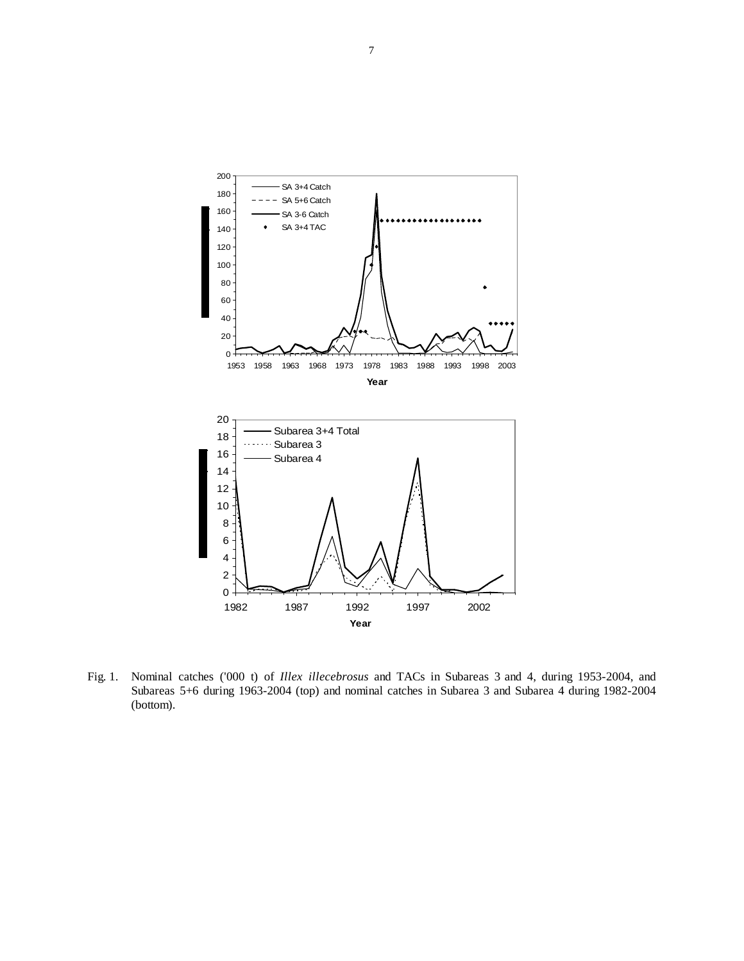

Fig. 1.Nominal catches ('000 t) of *Illex illecebrosus* and TACs in Subareas 3 and 4, during 1953-2004, and Subareas 5+6 during 1963-2004 (top) and nominal catches in Subarea 3 and Subarea 4 during 1982-2004 (bottom).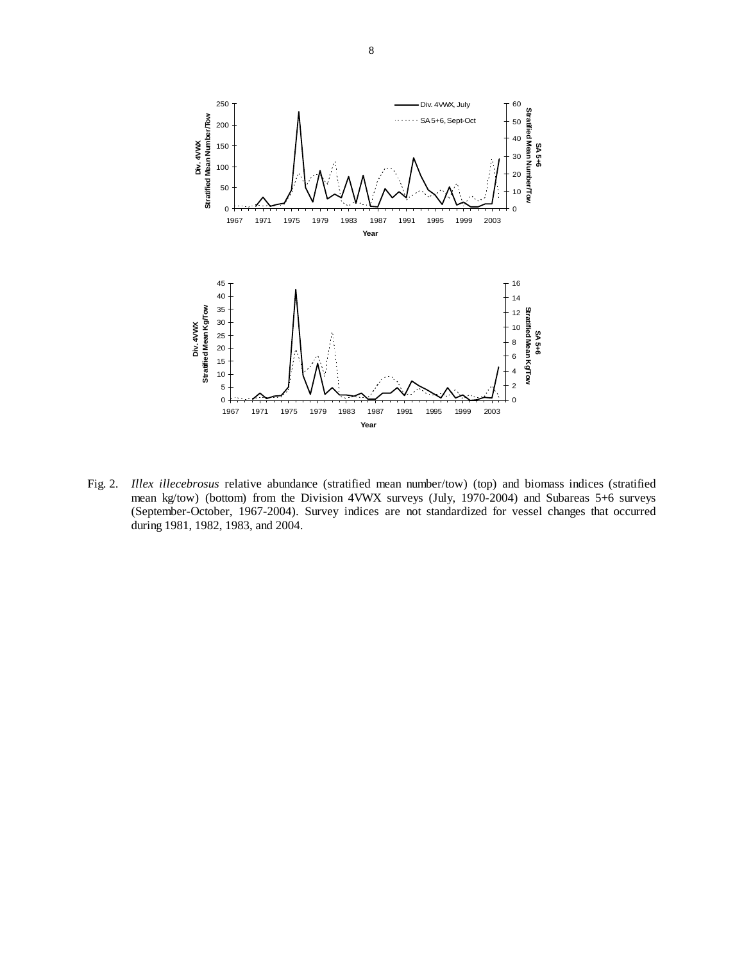

Fig. 2. *Illex illecebrosus* relative abundance (stratified mean number/tow) (top) and biomass indices (stratified mean kg/tow) (bottom) from the Division 4VWX surveys (July, 1970-2004) and Subareas 5+6 surveys (September-October, 1967-2004). Survey indices are not standardized for vessel changes that occurred during 1981, 1982, 1983, and 2004.